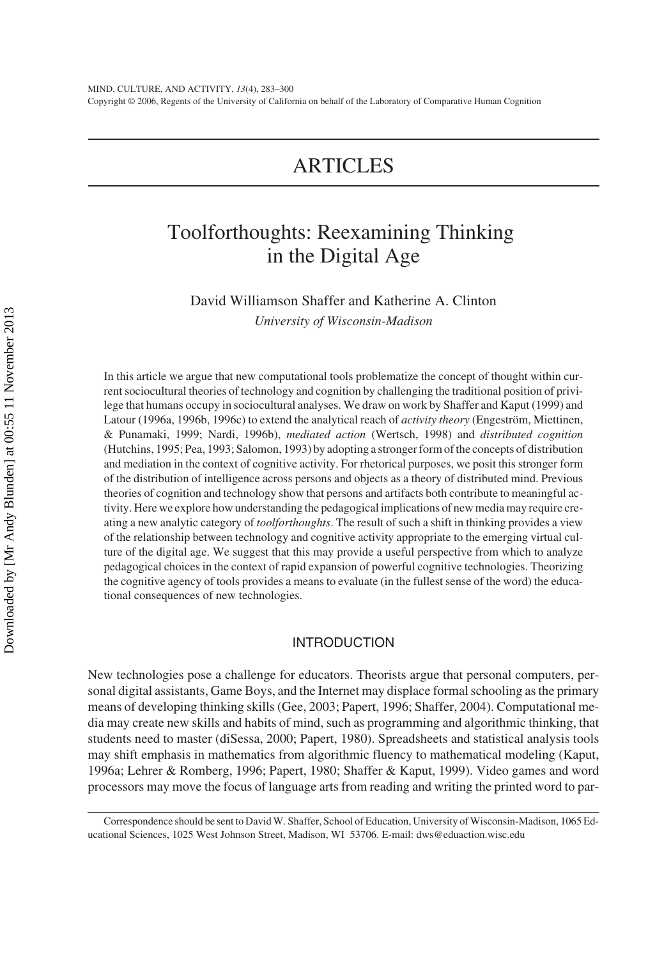# ARTICLES

# Toolforthoughts: Reexamining Thinking in the Digital Age

David Williamson Shaffer and Katherine A. Clinton *University of Wisconsin-Madison*

In this article we argue that new computational tools problematize the concept of thought within current sociocultural theories of technology and cognition by challenging the traditional position of privilege that humans occupy in sociocultural analyses. We draw on work by Shaffer and Kaput (1999) and Latour (1996a, 1996b, 1996c) to extend the analytical reach of *activity theory* (Engeström, Miettinen, & Punamaki, 1999; Nardi, 1996b), *mediated action* (Wertsch, 1998) and *distributed cognition* (Hutchins, 1995; Pea, 1993; Salomon, 1993) by adopting a stronger form of the concepts of distribution and mediation in the context of cognitive activity. For rhetorical purposes, we posit this stronger form of the distribution of intelligence across persons and objects as a theory of distributed mind. Previous theories of cognition and technology show that persons and artifacts both contribute to meaningful activity. Here we explore how understanding the pedagogical implications of new media may require creating a new analytic category of *toolforthoughts*. The result of such a shift in thinking provides a view of the relationship between technology and cognitive activity appropriate to the emerging virtual culture of the digital age. We suggest that this may provide a useful perspective from which to analyze pedagogical choices in the context of rapid expansion of powerful cognitive technologies. Theorizing the cognitive agency of tools provides a means to evaluate (in the fullest sense of the word) the educational consequences of new technologies.

## INTRODUCTION

New technologies pose a challenge for educators. Theorists argue that personal computers, personal digital assistants, Game Boys, and the Internet may displace formal schooling as the primary means of developing thinking skills (Gee, 2003; Papert, 1996; Shaffer, 2004). Computational media may create new skills and habits of mind, such as programming and algorithmic thinking, that students need to master (diSessa, 2000; Papert, 1980). Spreadsheets and statistical analysis tools may shift emphasis in mathematics from algorithmic fluency to mathematical modeling (Kaput, 1996a; Lehrer & Romberg, 1996; Papert, 1980; Shaffer & Kaput, 1999). Video games and word processors may move the focus of language arts from reading and writing the printed word to par-

Correspondence should be sent to David W. Shaffer, School of Education, University of Wisconsin-Madison, 1065 Educational Sciences, 1025 West Johnson Street, Madison, WI 53706. E-mail: dws@eduaction.wisc.edu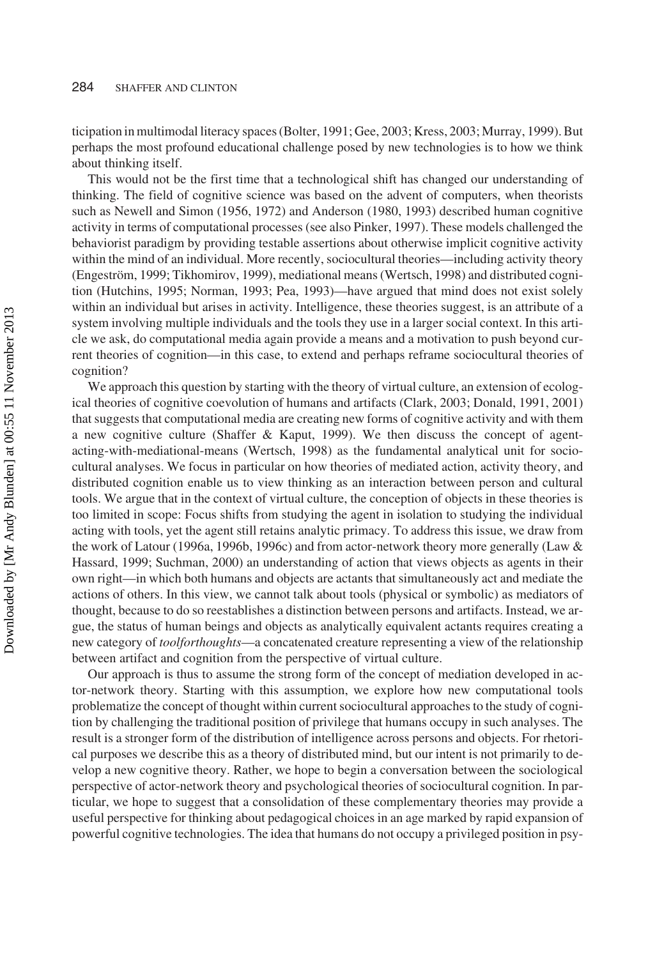ticipation in multimodal literacy spaces (Bolter, 1991; Gee, 2003; Kress, 2003; Murray, 1999). But perhaps the most profound educational challenge posed by new technologies is to how we think about thinking itself.

This would not be the first time that a technological shift has changed our understanding of thinking. The field of cognitive science was based on the advent of computers, when theorists such as Newell and Simon (1956, 1972) and Anderson (1980, 1993) described human cognitive activity in terms of computational processes (see also Pinker, 1997). These models challenged the behaviorist paradigm by providing testable assertions about otherwise implicit cognitive activity within the mind of an individual. More recently, sociocultural theories—including activity theory (Engeström, 1999; Tikhomirov, 1999), mediational means (Wertsch, 1998) and distributed cognition (Hutchins, 1995; Norman, 1993; Pea, 1993)—have argued that mind does not exist solely within an individual but arises in activity. Intelligence, these theories suggest, is an attribute of a system involving multiple individuals and the tools they use in a larger social context. In this article we ask, do computational media again provide a means and a motivation to push beyond current theories of cognition—in this case, to extend and perhaps reframe sociocultural theories of cognition?

We approach this question by starting with the theory of virtual culture, an extension of ecological theories of cognitive coevolution of humans and artifacts (Clark, 2003; Donald, 1991, 2001) that suggests that computational media are creating new forms of cognitive activity and with them a new cognitive culture (Shaffer & Kaput, 1999). We then discuss the concept of agentacting-with-mediational-means (Wertsch, 1998) as the fundamental analytical unit for sociocultural analyses. We focus in particular on how theories of mediated action, activity theory, and distributed cognition enable us to view thinking as an interaction between person and cultural tools. We argue that in the context of virtual culture, the conception of objects in these theories is too limited in scope: Focus shifts from studying the agent in isolation to studying the individual acting with tools, yet the agent still retains analytic primacy. To address this issue, we draw from the work of Latour (1996a, 1996b, 1996c) and from actor-network theory more generally (Law & Hassard, 1999; Suchman, 2000) an understanding of action that views objects as agents in their own right—in which both humans and objects are actants that simultaneously act and mediate the actions of others. In this view, we cannot talk about tools (physical or symbolic) as mediators of thought, because to do so reestablishes a distinction between persons and artifacts. Instead, we argue, the status of human beings and objects as analytically equivalent actants requires creating a new category of *toolforthoughts*—a concatenated creature representing a view of the relationship between artifact and cognition from the perspective of virtual culture.

Our approach is thus to assume the strong form of the concept of mediation developed in actor-network theory. Starting with this assumption, we explore how new computational tools problematize the concept of thought within current sociocultural approaches to the study of cognition by challenging the traditional position of privilege that humans occupy in such analyses. The result is a stronger form of the distribution of intelligence across persons and objects. For rhetorical purposes we describe this as a theory of distributed mind, but our intent is not primarily to develop a new cognitive theory. Rather, we hope to begin a conversation between the sociological perspective of actor-network theory and psychological theories of sociocultural cognition. In particular, we hope to suggest that a consolidation of these complementary theories may provide a useful perspective for thinking about pedagogical choices in an age marked by rapid expansion of powerful cognitive technologies. The idea that humans do not occupy a privileged position in psy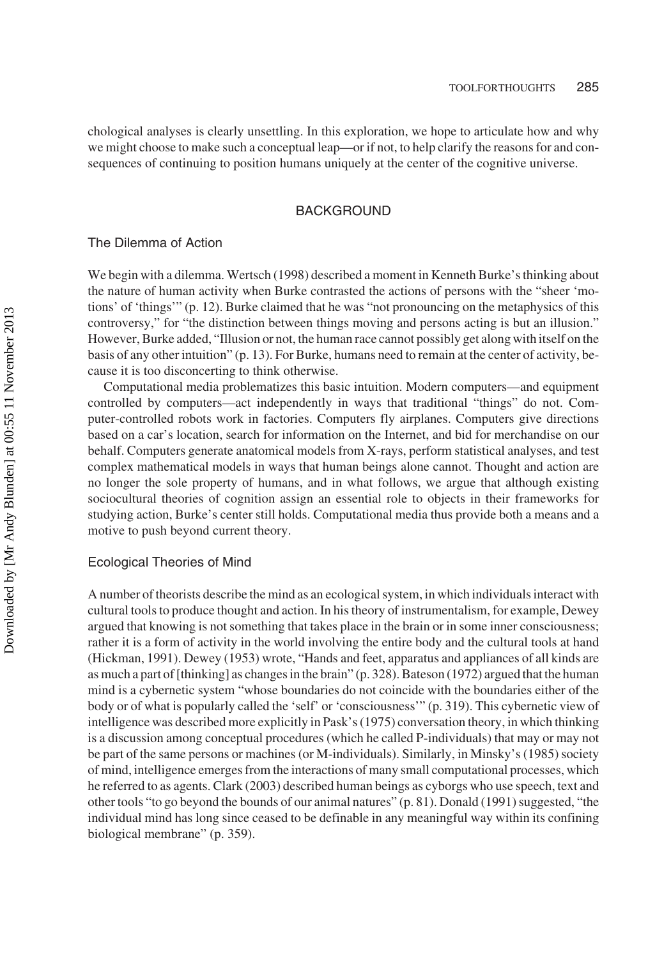chological analyses is clearly unsettling. In this exploration, we hope to articulate how and why we might choose to make such a conceptual leap—or if not, to help clarify the reasons for and consequences of continuing to position humans uniquely at the center of the cognitive universe.

## **BACKGROUND**

#### The Dilemma of Action

We begin with a dilemma. Wertsch (1998) described a moment in Kenneth Burke's thinking about the nature of human activity when Burke contrasted the actions of persons with the "sheer 'motions' of 'things'" (p. 12). Burke claimed that he was "not pronouncing on the metaphysics of this controversy," for "the distinction between things moving and persons acting is but an illusion." However, Burke added, "Illusion or not, the human race cannot possibly get along with itself on the basis of any other intuition" (p. 13). For Burke, humans need to remain at the center of activity, because it is too disconcerting to think otherwise.

Computational media problematizes this basic intuition. Modern computers—and equipment controlled by computers—act independently in ways that traditional "things" do not. Computer-controlled robots work in factories. Computers fly airplanes. Computers give directions based on a car's location, search for information on the Internet, and bid for merchandise on our behalf. Computers generate anatomical models from X-rays, perform statistical analyses, and test complex mathematical models in ways that human beings alone cannot. Thought and action are no longer the sole property of humans, and in what follows, we argue that although existing sociocultural theories of cognition assign an essential role to objects in their frameworks for studying action, Burke's center still holds. Computational media thus provide both a means and a motive to push beyond current theory.

#### Ecological Theories of Mind

A number of theorists describe the mind as an ecological system, in which individuals interact with cultural tools to produce thought and action. In his theory of instrumentalism, for example, Dewey argued that knowing is not something that takes place in the brain or in some inner consciousness; rather it is a form of activity in the world involving the entire body and the cultural tools at hand (Hickman, 1991). Dewey (1953) wrote, "Hands and feet, apparatus and appliances of all kinds are as much a part of [thinking] as changes in the brain" (p. 328). Bateson (1972) argued that the human mind is a cybernetic system "whose boundaries do not coincide with the boundaries either of the body or of what is popularly called the 'self' or 'consciousness'" (p. 319). This cybernetic view of intelligence was described more explicitly in Pask's (1975) conversation theory, in which thinking is a discussion among conceptual procedures (which he called P-individuals) that may or may not be part of the same persons or machines (or M-individuals). Similarly, in Minsky's (1985) society of mind, intelligence emerges from the interactions of many small computational processes, which he referred to as agents. Clark (2003) described human beings as cyborgs who use speech, text and other tools "to go beyond the bounds of our animal natures" (p. 81). Donald (1991) suggested, "the individual mind has long since ceased to be definable in any meaningful way within its confining biological membrane" (p. 359).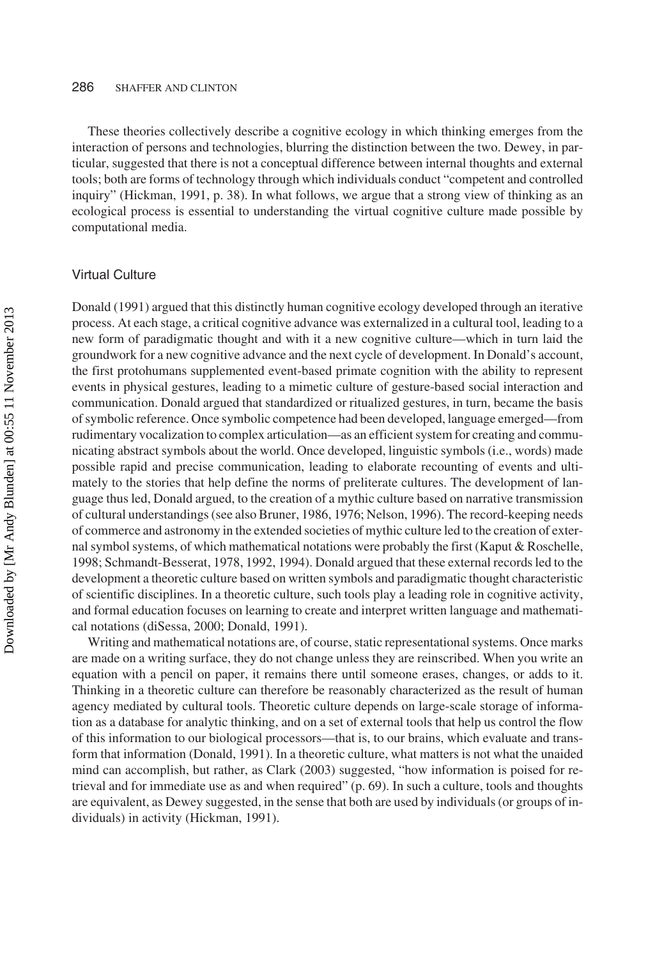#### 286 SHAFFER AND CLINTON

These theories collectively describe a cognitive ecology in which thinking emerges from the interaction of persons and technologies, blurring the distinction between the two. Dewey, in particular, suggested that there is not a conceptual difference between internal thoughts and external tools; both are forms of technology through which individuals conduct "competent and controlled inquiry" (Hickman, 1991, p. 38). In what follows, we argue that a strong view of thinking as an ecological process is essential to understanding the virtual cognitive culture made possible by computational media.

#### Virtual Culture

Donald (1991) argued that this distinctly human cognitive ecology developed through an iterative process. At each stage, a critical cognitive advance was externalized in a cultural tool, leading to a new form of paradigmatic thought and with it a new cognitive culture—which in turn laid the groundwork for a new cognitive advance and the next cycle of development. In Donald's account, the first protohumans supplemented event-based primate cognition with the ability to represent events in physical gestures, leading to a mimetic culture of gesture-based social interaction and communication. Donald argued that standardized or ritualized gestures, in turn, became the basis of symbolic reference. Once symbolic competence had been developed, language emerged—from rudimentary vocalization to complex articulation—as an efficient system for creating and communicating abstract symbols about the world. Once developed, linguistic symbols (i.e., words) made possible rapid and precise communication, leading to elaborate recounting of events and ultimately to the stories that help define the norms of preliterate cultures. The development of language thus led, Donald argued, to the creation of a mythic culture based on narrative transmission of cultural understandings (see also Bruner, 1986, 1976; Nelson, 1996). The record-keeping needs of commerce and astronomy in the extended societies of mythic culture led to the creation of external symbol systems, of which mathematical notations were probably the first (Kaput & Roschelle, 1998; Schmandt-Besserat, 1978, 1992, 1994). Donald argued that these external records led to the development a theoretic culture based on written symbols and paradigmatic thought characteristic of scientific disciplines. In a theoretic culture, such tools play a leading role in cognitive activity, and formal education focuses on learning to create and interpret written language and mathematical notations (diSessa, 2000; Donald, 1991).

Writing and mathematical notations are, of course, static representational systems. Once marks are made on a writing surface, they do not change unless they are reinscribed. When you write an equation with a pencil on paper, it remains there until someone erases, changes, or adds to it. Thinking in a theoretic culture can therefore be reasonably characterized as the result of human agency mediated by cultural tools. Theoretic culture depends on large-scale storage of information as a database for analytic thinking, and on a set of external tools that help us control the flow of this information to our biological processors—that is, to our brains, which evaluate and transform that information (Donald, 1991). In a theoretic culture, what matters is not what the unaided mind can accomplish, but rather, as Clark (2003) suggested, "how information is poised for retrieval and for immediate use as and when required" (p. 69). In such a culture, tools and thoughts are equivalent, as Dewey suggested, in the sense that both are used by individuals (or groups of individuals) in activity (Hickman, 1991).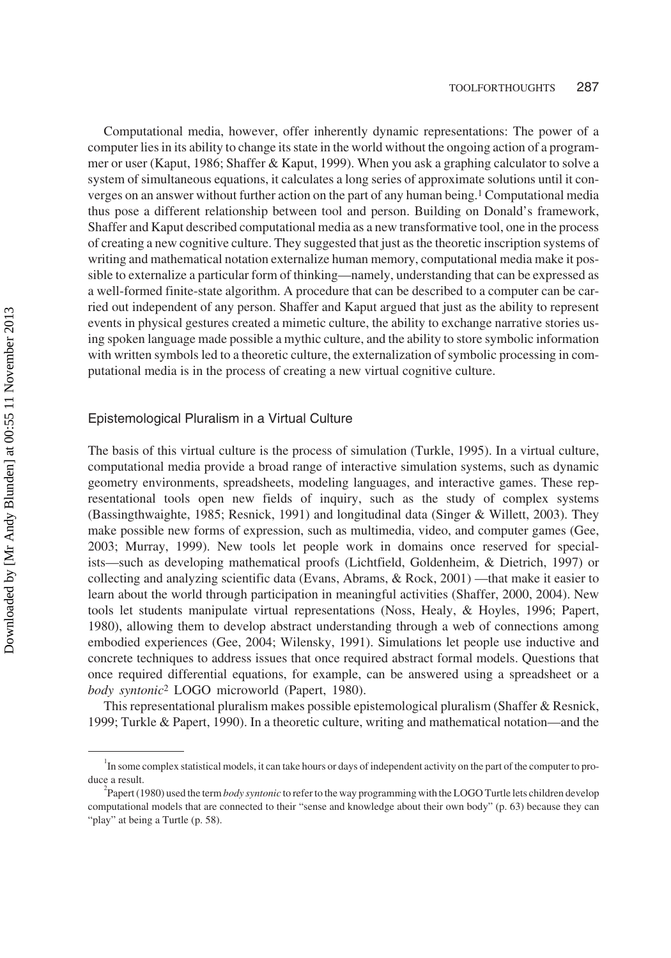Computational media, however, offer inherently dynamic representations: The power of a computer lies in its ability to change its state in the world without the ongoing action of a programmer or user (Kaput, 1986; Shaffer & Kaput, 1999). When you ask a graphing calculator to solve a system of simultaneous equations, it calculates a long series of approximate solutions until it converges on an answer without further action on the part of any human being.1 Computational media thus pose a different relationship between tool and person. Building on Donald's framework, Shaffer and Kaput described computational media as a new transformative tool, one in the process of creating a new cognitive culture. They suggested that just as the theoretic inscription systems of writing and mathematical notation externalize human memory, computational media make it possible to externalize a particular form of thinking—namely, understanding that can be expressed as a well-formed finite-state algorithm. A procedure that can be described to a computer can be carried out independent of any person. Shaffer and Kaput argued that just as the ability to represent events in physical gestures created a mimetic culture, the ability to exchange narrative stories using spoken language made possible a mythic culture, and the ability to store symbolic information with written symbols led to a theoretic culture, the externalization of symbolic processing in computational media is in the process of creating a new virtual cognitive culture.

## Epistemological Pluralism in a Virtual Culture

The basis of this virtual culture is the process of simulation (Turkle, 1995). In a virtual culture, computational media provide a broad range of interactive simulation systems, such as dynamic geometry environments, spreadsheets, modeling languages, and interactive games. These representational tools open new fields of inquiry, such as the study of complex systems (Bassingthwaighte, 1985; Resnick, 1991) and longitudinal data (Singer & Willett, 2003). They make possible new forms of expression, such as multimedia, video, and computer games (Gee, 2003; Murray, 1999). New tools let people work in domains once reserved for specialists—such as developing mathematical proofs (Lichtfield, Goldenheim, & Dietrich, 1997) or collecting and analyzing scientific data (Evans, Abrams,  $\&$  Rock, 2001) —that make it easier to learn about the world through participation in meaningful activities (Shaffer, 2000, 2004). New tools let students manipulate virtual representations (Noss, Healy, & Hoyles, 1996; Papert, 1980), allowing them to develop abstract understanding through a web of connections among embodied experiences (Gee, 2004; Wilensky, 1991). Simulations let people use inductive and concrete techniques to address issues that once required abstract formal models. Questions that once required differential equations, for example, can be answered using a spreadsheet or a *body syntonic*<sup>2</sup> LOGO microworld (Papert, 1980).

This representational pluralism makes possible epistemological pluralism (Shaffer & Resnick, 1999; Turkle & Papert, 1990). In a theoretic culture, writing and mathematical notation—and the

<sup>&</sup>lt;sup>1</sup>In some complex statistical models, it can take hours or days of independent activity on the part of the computer to produce a result.

Papert (1980) used the term *body syntonic* to refer to the way programming with the LOGO Turtle lets children develop computational models that are connected to their "sense and knowledge about their own body" (p. 63) because they can "play" at being a Turtle (p. 58).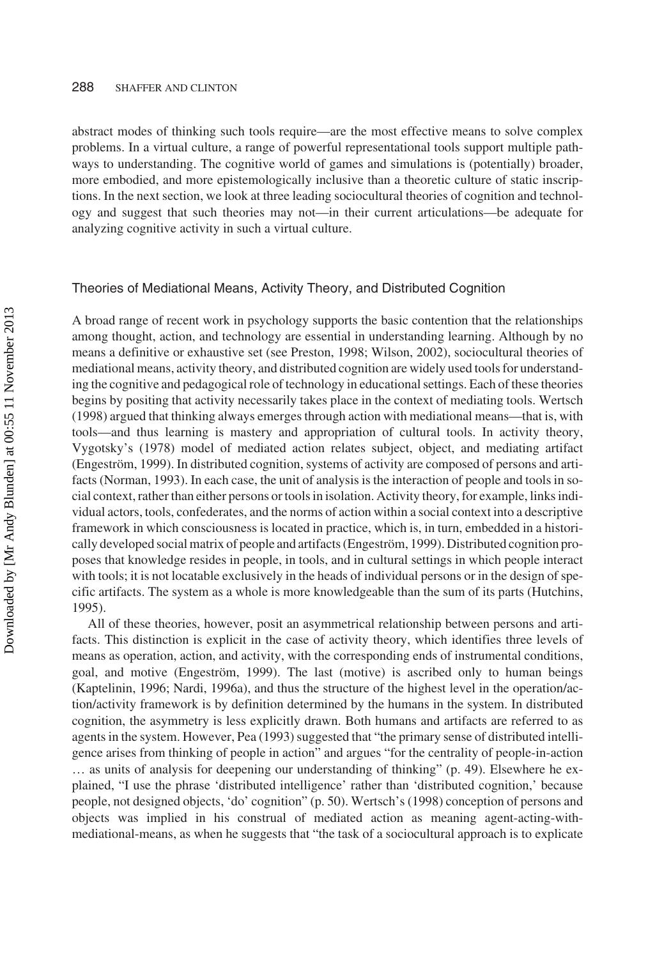abstract modes of thinking such tools require—are the most effective means to solve complex problems. In a virtual culture, a range of powerful representational tools support multiple pathways to understanding. The cognitive world of games and simulations is (potentially) broader, more embodied, and more epistemologically inclusive than a theoretic culture of static inscriptions. In the next section, we look at three leading sociocultural theories of cognition and technology and suggest that such theories may not—in their current articulations—be adequate for analyzing cognitive activity in such a virtual culture.

#### Theories of Mediational Means, Activity Theory, and Distributed Cognition

A broad range of recent work in psychology supports the basic contention that the relationships among thought, action, and technology are essential in understanding learning. Although by no means a definitive or exhaustive set (see Preston, 1998; Wilson, 2002), sociocultural theories of mediational means, activity theory, and distributed cognition are widely used tools for understanding the cognitive and pedagogical role of technology in educational settings. Each of these theories begins by positing that activity necessarily takes place in the context of mediating tools. Wertsch (1998) argued that thinking always emerges through action with mediational means—that is, with tools—and thus learning is mastery and appropriation of cultural tools. In activity theory, Vygotsky's (1978) model of mediated action relates subject, object, and mediating artifact (Engeström, 1999). In distributed cognition, systems of activity are composed of persons and artifacts (Norman, 1993). In each case, the unit of analysis is the interaction of people and tools in social context, rather than either persons or tools in isolation. Activity theory, for example, links individual actors, tools, confederates, and the norms of action within a social context into a descriptive framework in which consciousness is located in practice, which is, in turn, embedded in a historically developed social matrix of people and artifacts (Engeström, 1999). Distributed cognition proposes that knowledge resides in people, in tools, and in cultural settings in which people interact with tools; it is not locatable exclusively in the heads of individual persons or in the design of specific artifacts. The system as a whole is more knowledgeable than the sum of its parts (Hutchins, 1995).

All of these theories, however, posit an asymmetrical relationship between persons and artifacts. This distinction is explicit in the case of activity theory, which identifies three levels of means as operation, action, and activity, with the corresponding ends of instrumental conditions, goal, and motive (Engeström, 1999). The last (motive) is ascribed only to human beings (Kaptelinin, 1996; Nardi, 1996a), and thus the structure of the highest level in the operation/action/activity framework is by definition determined by the humans in the system. In distributed cognition, the asymmetry is less explicitly drawn. Both humans and artifacts are referred to as agents in the system. However, Pea (1993) suggested that "the primary sense of distributed intelligence arises from thinking of people in action" and argues "for the centrality of people-in-action … as units of analysis for deepening our understanding of thinking" (p. 49). Elsewhere he explained, "I use the phrase 'distributed intelligence' rather than 'distributed cognition,' because people, not designed objects, 'do' cognition" (p. 50). Wertsch's (1998) conception of persons and objects was implied in his construal of mediated action as meaning agent-acting-withmediational-means, as when he suggests that "the task of a sociocultural approach is to explicate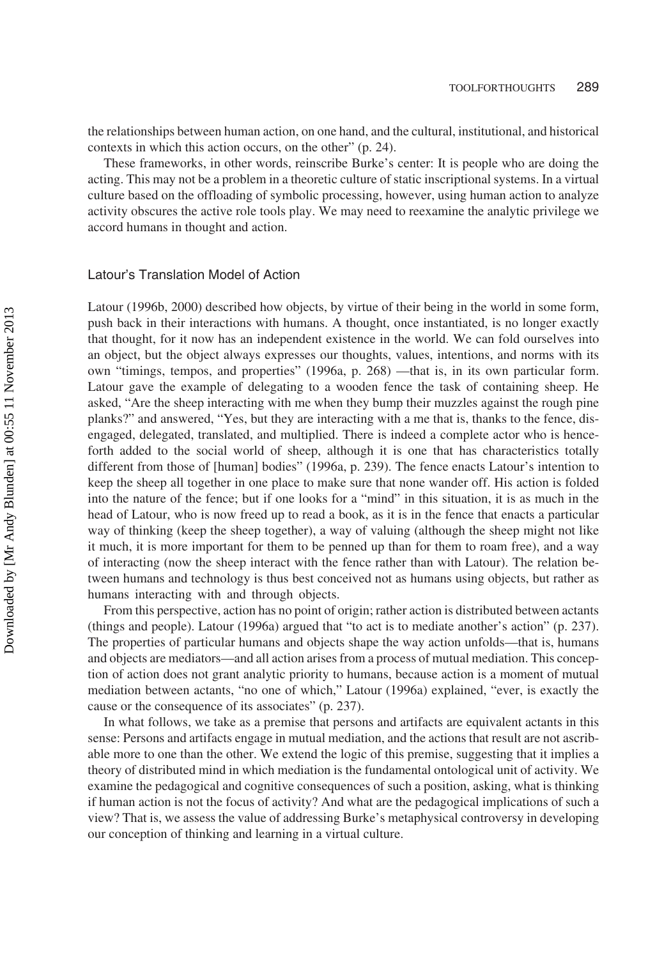the relationships between human action, on one hand, and the cultural, institutional, and historical contexts in which this action occurs, on the other" (p. 24).

These frameworks, in other words, reinscribe Burke's center: It is people who are doing the acting. This may not be a problem in a theoretic culture of static inscriptional systems. In a virtual culture based on the offloading of symbolic processing, however, using human action to analyze activity obscures the active role tools play. We may need to reexamine the analytic privilege we accord humans in thought and action.

## Latour's Translation Model of Action

Latour (1996b, 2000) described how objects, by virtue of their being in the world in some form, push back in their interactions with humans. A thought, once instantiated, is no longer exactly that thought, for it now has an independent existence in the world. We can fold ourselves into an object, but the object always expresses our thoughts, values, intentions, and norms with its own "timings, tempos, and properties" (1996a, p. 268) —that is, in its own particular form. Latour gave the example of delegating to a wooden fence the task of containing sheep. He asked, "Are the sheep interacting with me when they bump their muzzles against the rough pine planks?" and answered, "Yes, but they are interacting with a me that is, thanks to the fence, disengaged, delegated, translated, and multiplied. There is indeed a complete actor who is henceforth added to the social world of sheep, although it is one that has characteristics totally different from those of [human] bodies" (1996a, p. 239). The fence enacts Latour's intention to keep the sheep all together in one place to make sure that none wander off. His action is folded into the nature of the fence; but if one looks for a "mind" in this situation, it is as much in the head of Latour, who is now freed up to read a book, as it is in the fence that enacts a particular way of thinking (keep the sheep together), a way of valuing (although the sheep might not like it much, it is more important for them to be penned up than for them to roam free), and a way of interacting (now the sheep interact with the fence rather than with Latour). The relation between humans and technology is thus best conceived not as humans using objects, but rather as humans interacting with and through objects.

From this perspective, action has no point of origin; rather action is distributed between actants (things and people). Latour (1996a) argued that "to act is to mediate another's action" (p. 237). The properties of particular humans and objects shape the way action unfolds—that is, humans and objects are mediators—and all action arises from a process of mutual mediation. This conception of action does not grant analytic priority to humans, because action is a moment of mutual mediation between actants, "no one of which," Latour (1996a) explained, "ever, is exactly the cause or the consequence of its associates" (p. 237).

In what follows, we take as a premise that persons and artifacts are equivalent actants in this sense: Persons and artifacts engage in mutual mediation, and the actions that result are not ascribable more to one than the other. We extend the logic of this premise, suggesting that it implies a theory of distributed mind in which mediation is the fundamental ontological unit of activity. We examine the pedagogical and cognitive consequences of such a position, asking, what is thinking if human action is not the focus of activity? And what are the pedagogical implications of such a view? That is, we assess the value of addressing Burke's metaphysical controversy in developing our conception of thinking and learning in a virtual culture.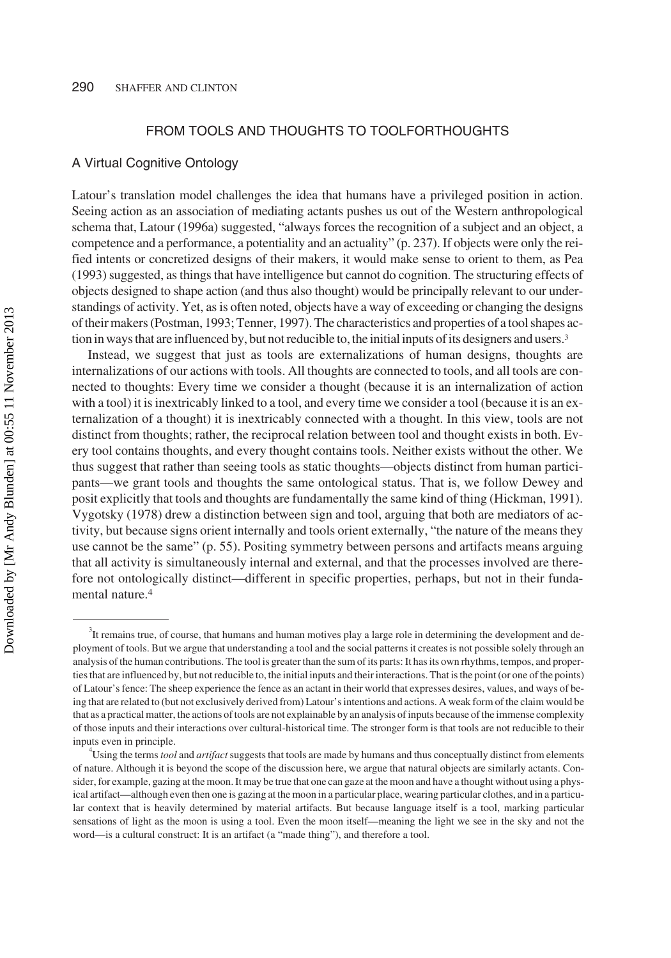## FROM TOOLS AND THOUGHTS TO TOOLFORTHOUGHTS

## A Virtual Cognitive Ontology

Latour's translation model challenges the idea that humans have a privileged position in action. Seeing action as an association of mediating actants pushes us out of the Western anthropological schema that, Latour (1996a) suggested, "always forces the recognition of a subject and an object, a competence and a performance, a potentiality and an actuality" (p. 237). If objects were only the reified intents or concretized designs of their makers, it would make sense to orient to them, as Pea (1993) suggested, as things that have intelligence but cannot do cognition. The structuring effects of objects designed to shape action (and thus also thought) would be principally relevant to our understandings of activity. Yet, as is often noted, objects have a way of exceeding or changing the designs of their makers (Postman, 1993; Tenner, 1997). The characteristics and properties of a tool shapes action in ways that are influenced by, but not reducible to, the initial inputs of its designers and users.3

Instead, we suggest that just as tools are externalizations of human designs, thoughts are internalizations of our actions with tools. All thoughts are connected to tools, and all tools are connected to thoughts: Every time we consider a thought (because it is an internalization of action with a tool) it is inextricably linked to a tool, and every time we consider a tool (because it is an externalization of a thought) it is inextricably connected with a thought. In this view, tools are not distinct from thoughts; rather, the reciprocal relation between tool and thought exists in both. Every tool contains thoughts, and every thought contains tools. Neither exists without the other. We thus suggest that rather than seeing tools as static thoughts—objects distinct from human participants—we grant tools and thoughts the same ontological status. That is, we follow Dewey and posit explicitly that tools and thoughts are fundamentally the same kind of thing (Hickman, 1991). Vygotsky (1978) drew a distinction between sign and tool, arguing that both are mediators of activity, but because signs orient internally and tools orient externally, "the nature of the means they use cannot be the same" (p. 55). Positing symmetry between persons and artifacts means arguing that all activity is simultaneously internal and external, and that the processes involved are therefore not ontologically distinct—different in specific properties, perhaps, but not in their fundamental nature.4

 $3$ It remains true, of course, that humans and human motives play a large role in determining the development and deployment of tools. But we argue that understanding a tool and the social patterns it creates is not possible solely through an analysis of the human contributions. The tool is greater than the sum of its parts: It has its own rhythms, tempos, and properties that are influenced by, but not reducible to, the initial inputs and their interactions. That is the point (or one of the points) of Latour's fence: The sheep experience the fence as an actant in their world that expresses desires, values, and ways of being that are related to (but not exclusively derived from) Latour's intentions and actions. A weak form of the claim would be that as a practical matter, the actions of tools are not explainable by an analysis of inputs because of the immense complexity of those inputs and their interactions over cultural-historical time. The stronger form is that tools are not reducible to their inputs even in principle. <sup>4</sup>

Using the terms*tool* and *artifact*suggests that tools are made by humans and thus conceptually distinct from elements of nature. Although it is beyond the scope of the discussion here, we argue that natural objects are similarly actants. Consider, for example, gazing at the moon. It may be true that one can gaze at the moon and have a thought without using a physical artifact—although even then one is gazing at the moon in a particular place, wearing particular clothes, and in a particular context that is heavily determined by material artifacts. But because language itself is a tool, marking particular sensations of light as the moon is using a tool. Even the moon itself—meaning the light we see in the sky and not the word—is a cultural construct: It is an artifact (a "made thing"), and therefore a tool.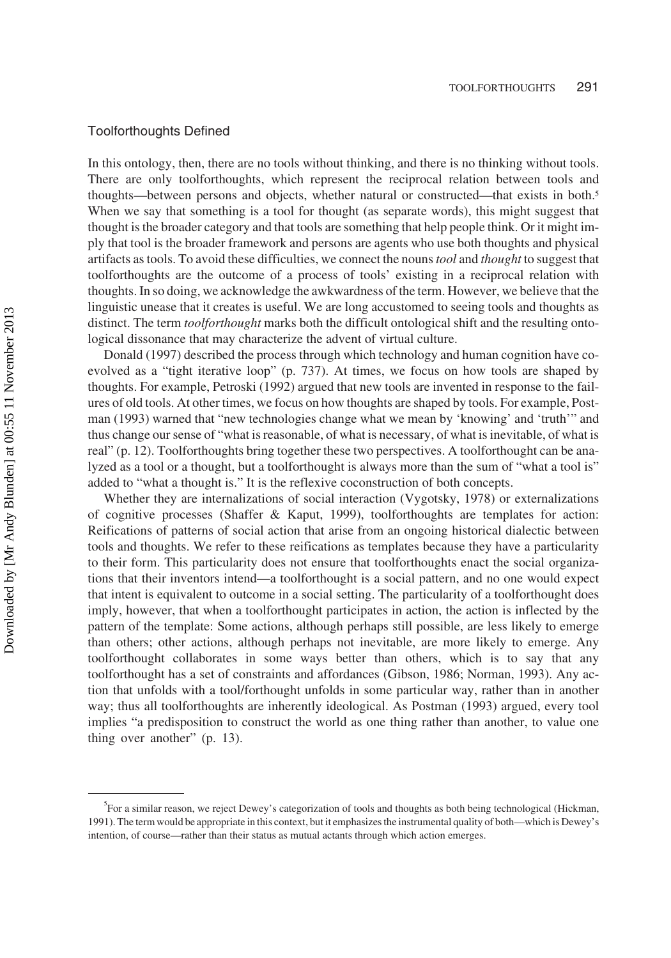#### Toolforthoughts Defined

In this ontology, then, there are no tools without thinking, and there is no thinking without tools. There are only toolforthoughts, which represent the reciprocal relation between tools and thoughts—between persons and objects, whether natural or constructed—that exists in both.5 When we say that something is a tool for thought (as separate words), this might suggest that thought is the broader category and that tools are something that help people think. Or it might imply that tool is the broader framework and persons are agents who use both thoughts and physical artifacts as tools. To avoid these difficulties, we connect the nouns*tool* and *thought* to suggest that toolforthoughts are the outcome of a process of tools' existing in a reciprocal relation with thoughts. In so doing, we acknowledge the awkwardness of the term. However, we believe that the linguistic unease that it creates is useful. We are long accustomed to seeing tools and thoughts as distinct. The term *toolforthought* marks both the difficult ontological shift and the resulting ontological dissonance that may characterize the advent of virtual culture.

Donald (1997) described the process through which technology and human cognition have coevolved as a "tight iterative loop" (p. 737). At times, we focus on how tools are shaped by thoughts. For example, Petroski (1992) argued that new tools are invented in response to the failures of old tools. At other times, we focus on how thoughts are shaped by tools. For example, Postman (1993) warned that "new technologies change what we mean by 'knowing' and 'truth'" and thus change our sense of "what is reasonable, of what is necessary, of what is inevitable, of what is real" (p. 12). Toolforthoughts bring together these two perspectives. A toolforthought can be analyzed as a tool or a thought, but a toolforthought is always more than the sum of "what a tool is" added to "what a thought is." It is the reflexive coconstruction of both concepts.

Whether they are internalizations of social interaction (Vygotsky, 1978) or externalizations of cognitive processes (Shaffer & Kaput, 1999), toolforthoughts are templates for action: Reifications of patterns of social action that arise from an ongoing historical dialectic between tools and thoughts. We refer to these reifications as templates because they have a particularity to their form. This particularity does not ensure that toolforthoughts enact the social organizations that their inventors intend—a toolforthought is a social pattern, and no one would expect that intent is equivalent to outcome in a social setting. The particularity of a toolforthought does imply, however, that when a toolforthought participates in action, the action is inflected by the pattern of the template: Some actions, although perhaps still possible, are less likely to emerge than others; other actions, although perhaps not inevitable, are more likely to emerge. Any toolforthought collaborates in some ways better than others, which is to say that any toolforthought has a set of constraints and affordances (Gibson, 1986; Norman, 1993). Any action that unfolds with a tool/forthought unfolds in some particular way, rather than in another way; thus all toolforthoughts are inherently ideological. As Postman (1993) argued, every tool implies "a predisposition to construct the world as one thing rather than another, to value one thing over another" (p. 13).

<sup>&</sup>lt;sup>5</sup> For a similar reason, we reject Dewey's categorization of tools and thoughts as both being technological (Hickman, 1991). The term would be appropriate in this context, but it emphasizes the instrumental quality of both—which is Dewey's intention, of course—rather than their status as mutual actants through which action emerges.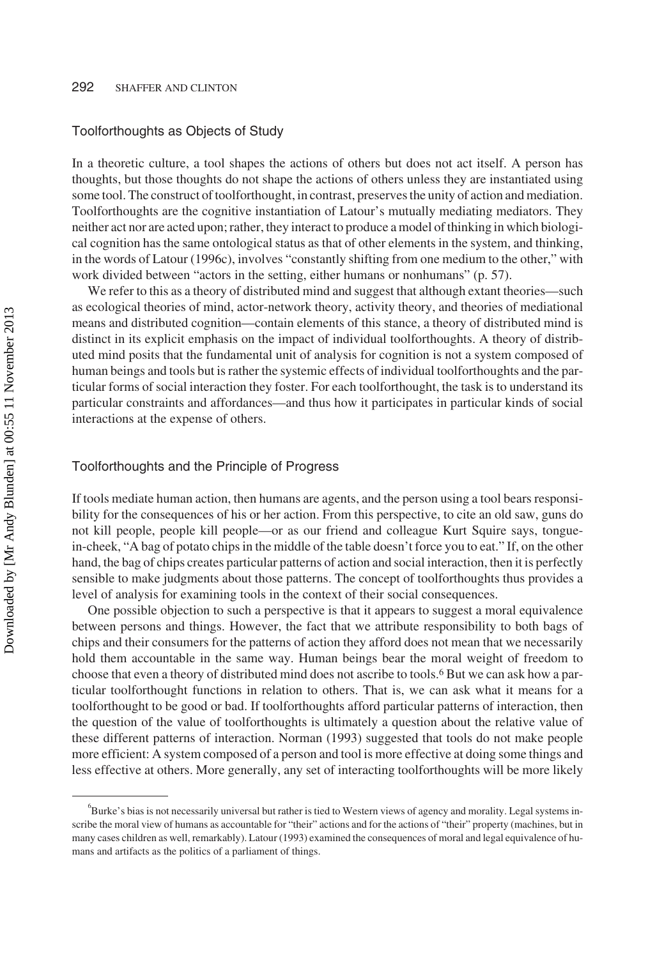#### Toolforthoughts as Objects of Study

In a theoretic culture, a tool shapes the actions of others but does not act itself. A person has thoughts, but those thoughts do not shape the actions of others unless they are instantiated using some tool. The construct of toolforthought, in contrast, preserves the unity of action and mediation. Toolforthoughts are the cognitive instantiation of Latour's mutually mediating mediators. They neither act nor are acted upon; rather, they interact to produce a model of thinking in which biological cognition has the same ontological status as that of other elements in the system, and thinking, in the words of Latour (1996c), involves "constantly shifting from one medium to the other," with work divided between "actors in the setting, either humans or nonhumans" (p. 57).

We refer to this as a theory of distributed mind and suggest that although extant theories—such as ecological theories of mind, actor-network theory, activity theory, and theories of mediational means and distributed cognition—contain elements of this stance, a theory of distributed mind is distinct in its explicit emphasis on the impact of individual toolforthoughts. A theory of distributed mind posits that the fundamental unit of analysis for cognition is not a system composed of human beings and tools but is rather the systemic effects of individual toolforthoughts and the particular forms of social interaction they foster. For each toolforthought, the task is to understand its particular constraints and affordances—and thus how it participates in particular kinds of social interactions at the expense of others.

## Toolforthoughts and the Principle of Progress

If tools mediate human action, then humans are agents, and the person using a tool bears responsibility for the consequences of his or her action. From this perspective, to cite an old saw, guns do not kill people, people kill people—or as our friend and colleague Kurt Squire says, tonguein-cheek, "A bag of potato chips in the middle of the table doesn't force you to eat." If, on the other hand, the bag of chips creates particular patterns of action and social interaction, then it is perfectly sensible to make judgments about those patterns. The concept of toolforthoughts thus provides a level of analysis for examining tools in the context of their social consequences.

One possible objection to such a perspective is that it appears to suggest a moral equivalence between persons and things. However, the fact that we attribute responsibility to both bags of chips and their consumers for the patterns of action they afford does not mean that we necessarily hold them accountable in the same way. Human beings bear the moral weight of freedom to choose that even a theory of distributed mind does not ascribe to tools.6 But we can ask how a particular toolforthought functions in relation to others. That is, we can ask what it means for a toolforthought to be good or bad. If toolforthoughts afford particular patterns of interaction, then the question of the value of toolforthoughts is ultimately a question about the relative value of these different patterns of interaction. Norman (1993) suggested that tools do not make people more efficient: A system composed of a person and tool is more effective at doing some things and less effective at others. More generally, any set of interacting toolforthoughts will be more likely

<sup>6</sup> Burke's bias is not necessarily universal but rather is tied to Western views of agency and morality. Legal systems inscribe the moral view of humans as accountable for "their" actions and for the actions of "their" property (machines, but in many cases children as well, remarkably). Latour (1993) examined the consequences of moral and legal equivalence of humans and artifacts as the politics of a parliament of things.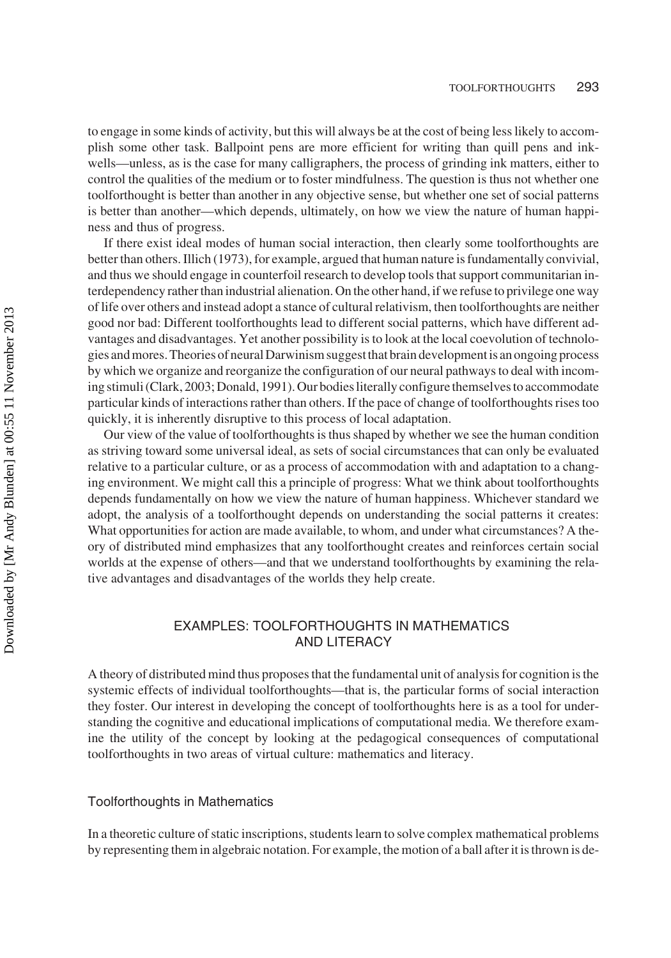to engage in some kinds of activity, but this will always be at the cost of being less likely to accomplish some other task. Ballpoint pens are more efficient for writing than quill pens and inkwells—unless, as is the case for many calligraphers, the process of grinding ink matters, either to control the qualities of the medium or to foster mindfulness. The question is thus not whether one toolforthought is better than another in any objective sense, but whether one set of social patterns is better than another—which depends, ultimately, on how we view the nature of human happiness and thus of progress.

If there exist ideal modes of human social interaction, then clearly some toolforthoughts are better than others. Illich (1973), for example, argued that human nature is fundamentally convivial, and thus we should engage in counterfoil research to develop tools that support communitarian interdependency rather than industrial alienation. On the other hand, if we refuse to privilege one way of life over others and instead adopt a stance of cultural relativism, then toolforthoughts are neither good nor bad: Different toolforthoughts lead to different social patterns, which have different advantages and disadvantages. Yet another possibility is to look at the local coevolution of technologies and mores. Theories of neural Darwinism suggest that brain development is an ongoing process by which we organize and reorganize the configuration of our neural pathways to deal with incoming stimuli (Clark, 2003; Donald, 1991). Our bodies literally configure themselves to accommodate particular kinds of interactions rather than others. If the pace of change of toolforthoughts rises too quickly, it is inherently disruptive to this process of local adaptation.

Our view of the value of toolforthoughts is thus shaped by whether we see the human condition as striving toward some universal ideal, as sets of social circumstances that can only be evaluated relative to a particular culture, or as a process of accommodation with and adaptation to a changing environment. We might call this a principle of progress: What we think about toolforthoughts depends fundamentally on how we view the nature of human happiness. Whichever standard we adopt, the analysis of a toolforthought depends on understanding the social patterns it creates: What opportunities for action are made available, to whom, and under what circumstances? A theory of distributed mind emphasizes that any toolforthought creates and reinforces certain social worlds at the expense of others—and that we understand toolforthoughts by examining the relative advantages and disadvantages of the worlds they help create.

## EXAMPLES: TOOLFORTHOUGHTS IN MATHEMATICS AND LITERACY

A theory of distributed mind thus proposes that the fundamental unit of analysis for cognition is the systemic effects of individual toolforthoughts—that is, the particular forms of social interaction they foster. Our interest in developing the concept of toolforthoughts here is as a tool for understanding the cognitive and educational implications of computational media. We therefore examine the utility of the concept by looking at the pedagogical consequences of computational toolforthoughts in two areas of virtual culture: mathematics and literacy.

## Toolforthoughts in Mathematics

In a theoretic culture of static inscriptions, students learn to solve complex mathematical problems by representing them in algebraic notation. For example, the motion of a ball after it is thrown is de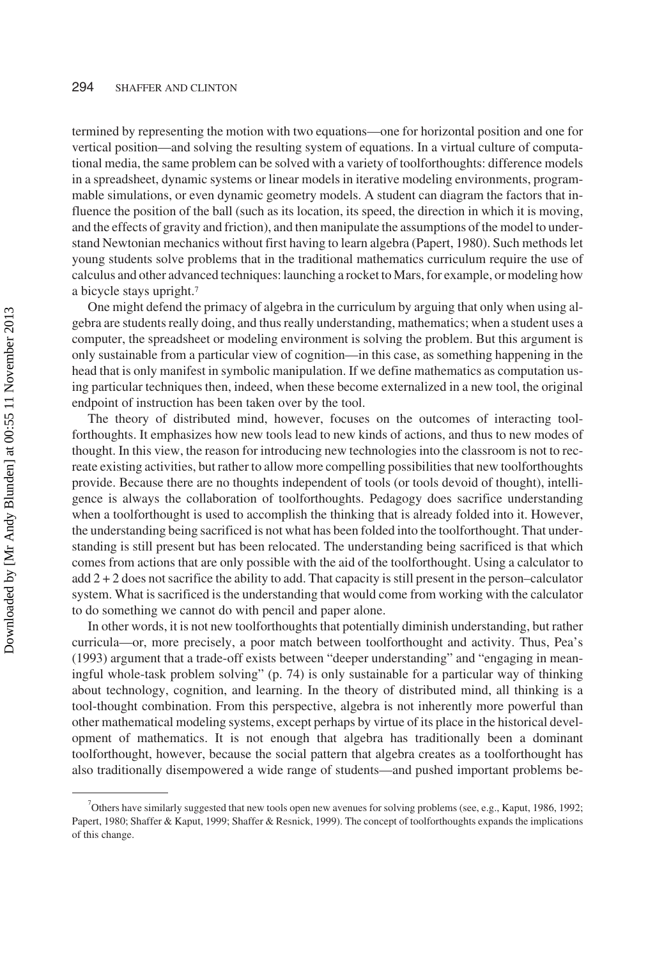termined by representing the motion with two equations—one for horizontal position and one for vertical position—and solving the resulting system of equations. In a virtual culture of computational media, the same problem can be solved with a variety of toolforthoughts: difference models in a spreadsheet, dynamic systems or linear models in iterative modeling environments, programmable simulations, or even dynamic geometry models. A student can diagram the factors that influence the position of the ball (such as its location, its speed, the direction in which it is moving, and the effects of gravity and friction), and then manipulate the assumptions of the model to understand Newtonian mechanics without first having to learn algebra (Papert, 1980). Such methods let young students solve problems that in the traditional mathematics curriculum require the use of calculus and other advanced techniques: launching a rocket to Mars, for example, or modeling how a bicycle stays upright.7

One might defend the primacy of algebra in the curriculum by arguing that only when using algebra are students really doing, and thus really understanding, mathematics; when a student uses a computer, the spreadsheet or modeling environment is solving the problem. But this argument is only sustainable from a particular view of cognition—in this case, as something happening in the head that is only manifest in symbolic manipulation. If we define mathematics as computation using particular techniques then, indeed, when these become externalized in a new tool, the original endpoint of instruction has been taken over by the tool.

The theory of distributed mind, however, focuses on the outcomes of interacting toolforthoughts. It emphasizes how new tools lead to new kinds of actions, and thus to new modes of thought. In this view, the reason for introducing new technologies into the classroom is not to recreate existing activities, but rather to allow more compelling possibilities that new toolforthoughts provide. Because there are no thoughts independent of tools (or tools devoid of thought), intelligence is always the collaboration of toolforthoughts. Pedagogy does sacrifice understanding when a toolforthought is used to accomplish the thinking that is already folded into it. However, the understanding being sacrificed is not what has been folded into the toolforthought. That understanding is still present but has been relocated. The understanding being sacrificed is that which comes from actions that are only possible with the aid of the toolforthought. Using a calculator to add  $2 + 2$  does not sacrifice the ability to add. That capacity is still present in the person–calculator system. What is sacrificed is the understanding that would come from working with the calculator to do something we cannot do with pencil and paper alone.

In other words, it is not new toolforthoughts that potentially diminish understanding, but rather curricula—or, more precisely, a poor match between toolforthought and activity. Thus, Pea's (1993) argument that a trade-off exists between "deeper understanding" and "engaging in meaningful whole-task problem solving" (p. 74) is only sustainable for a particular way of thinking about technology, cognition, and learning. In the theory of distributed mind, all thinking is a tool-thought combination. From this perspective, algebra is not inherently more powerful than other mathematical modeling systems, except perhaps by virtue of its place in the historical development of mathematics. It is not enough that algebra has traditionally been a dominant toolforthought, however, because the social pattern that algebra creates as a toolforthought has also traditionally disempowered a wide range of students—and pushed important problems be-

Others have similarly suggested that new tools open new avenues for solving problems (see, e.g., Kaput, 1986, 1992; Papert, 1980; Shaffer & Kaput, 1999; Shaffer & Resnick, 1999). The concept of toolforthoughts expands the implications of this change.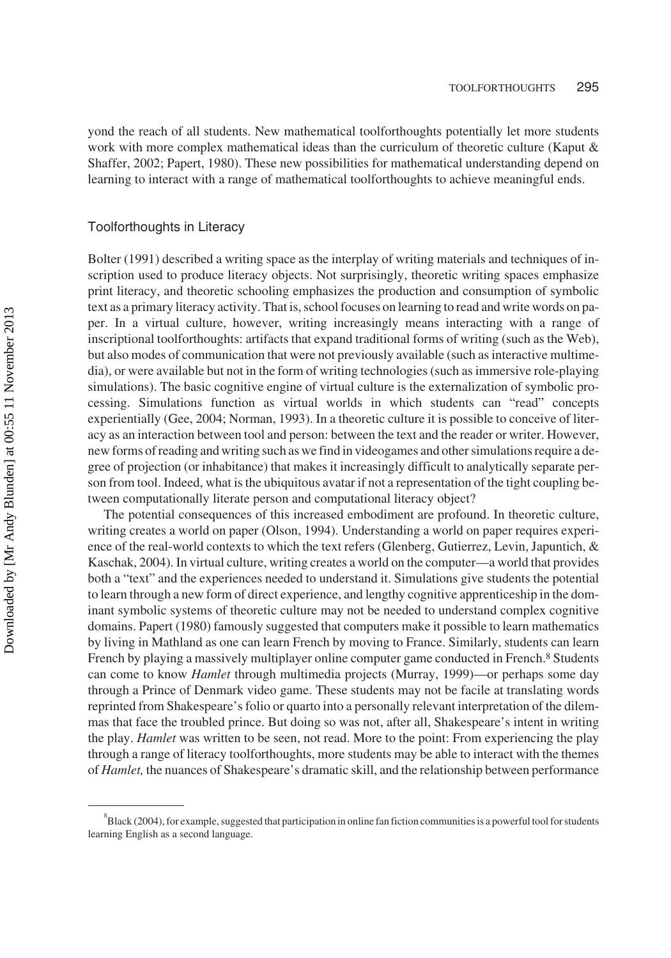yond the reach of all students. New mathematical toolforthoughts potentially let more students work with more complex mathematical ideas than the curriculum of theoretic culture (Kaput & Shaffer, 2002; Papert, 1980). These new possibilities for mathematical understanding depend on learning to interact with a range of mathematical toolforthoughts to achieve meaningful ends.

#### Toolforthoughts in Literacy

Bolter (1991) described a writing space as the interplay of writing materials and techniques of inscription used to produce literacy objects. Not surprisingly, theoretic writing spaces emphasize print literacy, and theoretic schooling emphasizes the production and consumption of symbolic text as a primary literacy activity. That is, school focuses on learning to read and write words on paper. In a virtual culture, however, writing increasingly means interacting with a range of inscriptional toolforthoughts: artifacts that expand traditional forms of writing (such as the Web), but also modes of communication that were not previously available (such as interactive multimedia), or were available but not in the form of writing technologies (such as immersive role-playing simulations). The basic cognitive engine of virtual culture is the externalization of symbolic processing. Simulations function as virtual worlds in which students can "read" concepts experientially (Gee, 2004; Norman, 1993). In a theoretic culture it is possible to conceive of literacy as an interaction between tool and person: between the text and the reader or writer. However, new forms of reading and writing such as we find in videogames and other simulations require a degree of projection (or inhabitance) that makes it increasingly difficult to analytically separate person from tool. Indeed, what is the ubiquitous avatar if not a representation of the tight coupling between computationally literate person and computational literacy object?

The potential consequences of this increased embodiment are profound. In theoretic culture, writing creates a world on paper (Olson, 1994). Understanding a world on paper requires experience of the real-world contexts to which the text refers (Glenberg, Gutierrez, Levin, Japuntich, & Kaschak, 2004). In virtual culture, writing creates a world on the computer—a world that provides both a "text" and the experiences needed to understand it. Simulations give students the potential to learn through a new form of direct experience, and lengthy cognitive apprenticeship in the dominant symbolic systems of theoretic culture may not be needed to understand complex cognitive domains. Papert (1980) famously suggested that computers make it possible to learn mathematics by living in Mathland as one can learn French by moving to France. Similarly, students can learn French by playing a massively multiplayer online computer game conducted in French.<sup>8</sup> Students can come to know *Hamlet* through multimedia projects (Murray, 1999)—or perhaps some day through a Prince of Denmark video game. These students may not be facile at translating words reprinted from Shakespeare's folio or quarto into a personally relevant interpretation of the dilemmas that face the troubled prince. But doing so was not, after all, Shakespeare's intent in writing the play. *Hamlet* was written to be seen, not read. More to the point: From experiencing the play through a range of literacy toolforthoughts, more students may be able to interact with the themes of *Hamlet,* the nuances of Shakespeare's dramatic skill, and the relationship between performance

 $^{8}$ Black (2004), for example, suggested that participation in online fan fiction communities is a powerful tool for students learning English as a second language.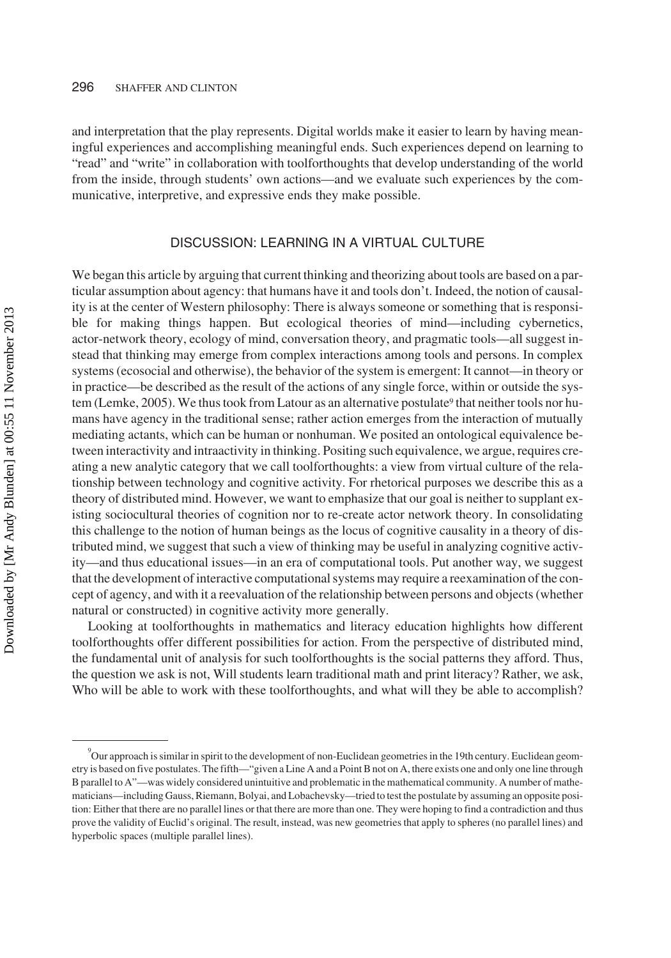and interpretation that the play represents. Digital worlds make it easier to learn by having meaningful experiences and accomplishing meaningful ends. Such experiences depend on learning to "read" and "write" in collaboration with toolforthoughts that develop understanding of the world from the inside, through students' own actions—and we evaluate such experiences by the communicative, interpretive, and expressive ends they make possible.

## DISCUSSION: LEARNING IN A VIRTUAL CULTURE

We began this article by arguing that current thinking and theorizing about tools are based on a particular assumption about agency: that humans have it and tools don't. Indeed, the notion of causality is at the center of Western philosophy: There is always someone or something that is responsible for making things happen. But ecological theories of mind—including cybernetics, actor-network theory, ecology of mind, conversation theory, and pragmatic tools—all suggest instead that thinking may emerge from complex interactions among tools and persons. In complex systems (ecosocial and otherwise), the behavior of the system is emergent: It cannot—in theory or in practice—be described as the result of the actions of any single force, within or outside the system (Lemke, 2005). We thus took from Latour as an alternative postulate<sup>9</sup> that neither tools nor humans have agency in the traditional sense; rather action emerges from the interaction of mutually mediating actants, which can be human or nonhuman. We posited an ontological equivalence between interactivity and intraactivity in thinking. Positing such equivalence, we argue, requires creating a new analytic category that we call toolforthoughts: a view from virtual culture of the relationship between technology and cognitive activity. For rhetorical purposes we describe this as a theory of distributed mind. However, we want to emphasize that our goal is neither to supplant existing sociocultural theories of cognition nor to re-create actor network theory. In consolidating this challenge to the notion of human beings as the locus of cognitive causality in a theory of distributed mind, we suggest that such a view of thinking may be useful in analyzing cognitive activity—and thus educational issues—in an era of computational tools. Put another way, we suggest that the development of interactive computational systems may require a reexamination of the concept of agency, and with it a reevaluation of the relationship between persons and objects (whether natural or constructed) in cognitive activity more generally.

Looking at toolforthoughts in mathematics and literacy education highlights how different toolforthoughts offer different possibilities for action. From the perspective of distributed mind, the fundamental unit of analysis for such toolforthoughts is the social patterns they afford. Thus, the question we ask is not, Will students learn traditional math and print literacy? Rather, we ask, Who will be able to work with these toolforthoughts, and what will they be able to accomplish?

<sup>9</sup> Our approach is similar in spirit to the development of non-Euclidean geometries in the 19th century. Euclidean geometry is based on five postulates. The fifth—"given a Line A and a Point B not on A, there exists one and only one line through B parallel to A"—was widely considered unintuitive and problematic in the mathematical community. A number of mathematicians—including Gauss, Riemann, Bolyai, and Lobachevsky—tried to test the postulate by assuming an opposite position: Either that there are no parallel lines or that there are more than one. They were hoping to find a contradiction and thus prove the validity of Euclid's original. The result, instead, was new geometries that apply to spheres (no parallel lines) and hyperbolic spaces (multiple parallel lines).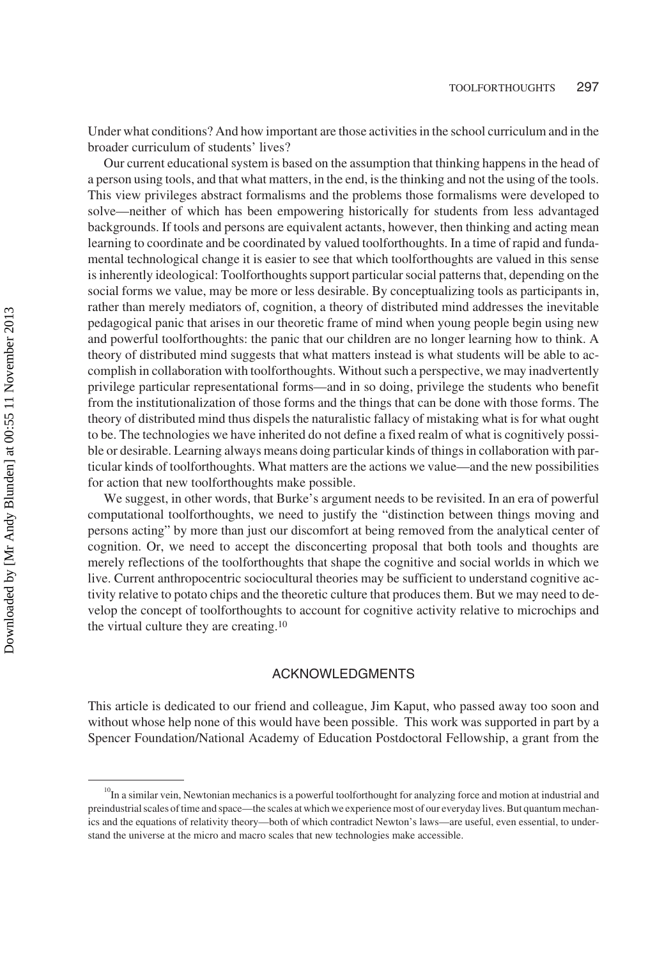Under what conditions? And how important are those activities in the school curriculum and in the broader curriculum of students' lives?

Our current educational system is based on the assumption that thinking happens in the head of a person using tools, and that what matters, in the end, is the thinking and not the using of the tools. This view privileges abstract formalisms and the problems those formalisms were developed to solve—neither of which has been empowering historically for students from less advantaged backgrounds. If tools and persons are equivalent actants, however, then thinking and acting mean learning to coordinate and be coordinated by valued toolforthoughts. In a time of rapid and fundamental technological change it is easier to see that which toolforthoughts are valued in this sense is inherently ideological: Toolforthoughts support particular social patterns that, depending on the social forms we value, may be more or less desirable. By conceptualizing tools as participants in, rather than merely mediators of, cognition, a theory of distributed mind addresses the inevitable pedagogical panic that arises in our theoretic frame of mind when young people begin using new and powerful toolforthoughts: the panic that our children are no longer learning how to think. A theory of distributed mind suggests that what matters instead is what students will be able to accomplish in collaboration with toolforthoughts. Without such a perspective, we may inadvertently privilege particular representational forms—and in so doing, privilege the students who benefit from the institutionalization of those forms and the things that can be done with those forms. The theory of distributed mind thus dispels the naturalistic fallacy of mistaking what is for what ought to be. The technologies we have inherited do not define a fixed realm of what is cognitively possible or desirable. Learning always means doing particular kinds of things in collaboration with particular kinds of toolforthoughts. What matters are the actions we value—and the new possibilities for action that new toolforthoughts make possible.

We suggest, in other words, that Burke's argument needs to be revisited. In an era of powerful computational toolforthoughts, we need to justify the "distinction between things moving and persons acting" by more than just our discomfort at being removed from the analytical center of cognition. Or, we need to accept the disconcerting proposal that both tools and thoughts are merely reflections of the toolforthoughts that shape the cognitive and social worlds in which we live. Current anthropocentric sociocultural theories may be sufficient to understand cognitive activity relative to potato chips and the theoretic culture that produces them. But we may need to develop the concept of toolforthoughts to account for cognitive activity relative to microchips and the virtual culture they are creating.10

## ACKNOWLEDGMENTS

This article is dedicated to our friend and colleague, Jim Kaput, who passed away too soon and without whose help none of this would have been possible. This work was supported in part by a Spencer Foundation/National Academy of Education Postdoctoral Fellowship, a grant from the

 $10$ In a similar vein, Newtonian mechanics is a powerful toolforthought for analyzing force and motion at industrial and preindustrial scales of time and space—the scales at which we experience most of our everyday lives. But quantum mechanics and the equations of relativity theory—both of which contradict Newton's laws—are useful, even essential, to understand the universe at the micro and macro scales that new technologies make accessible.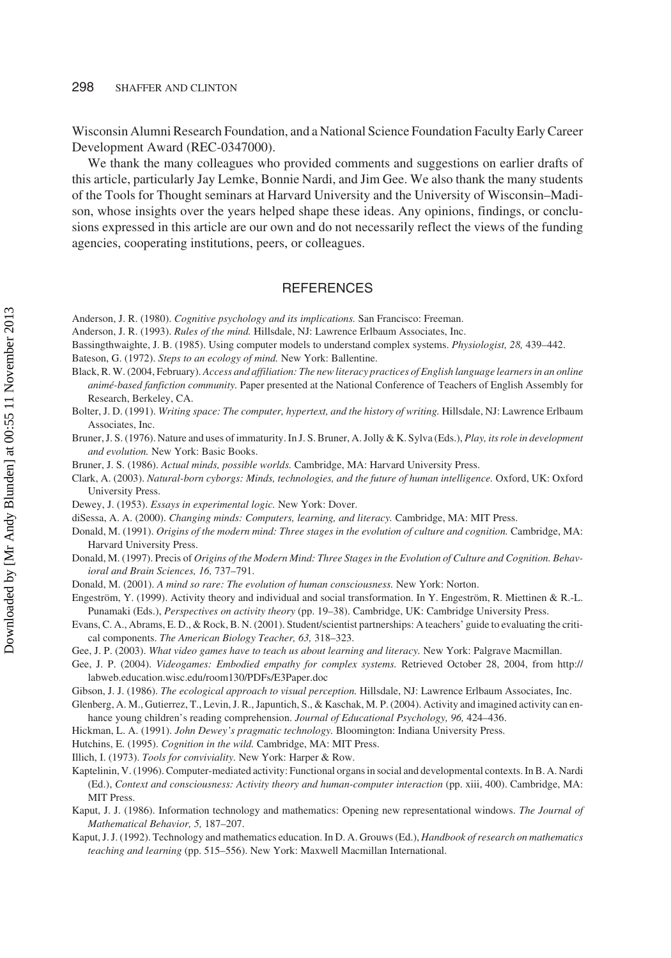Wisconsin Alumni Research Foundation, and a National Science Foundation Faculty Early Career Development Award (REC-0347000).

We thank the many colleagues who provided comments and suggestions on earlier drafts of this article, particularly Jay Lemke, Bonnie Nardi, and Jim Gee. We also thank the many students of the Tools for Thought seminars at Harvard University and the University of Wisconsin–Madison, whose insights over the years helped shape these ideas. Any opinions, findings, or conclusions expressed in this article are our own and do not necessarily reflect the views of the funding agencies, cooperating institutions, peers, or colleagues.

#### **REFERENCES**

Anderson, J. R. (1980). *Cognitive psychology and its implications.* San Francisco: Freeman.

- Anderson, J. R. (1993). *Rules of the mind.* Hillsdale, NJ: Lawrence Erlbaum Associates, Inc.
- Bassingthwaighte, J. B. (1985). Using computer models to understand complex systems. *Physiologist, 28,* 439–442.
- Bateson, G. (1972). *Steps to an ecology of mind.* New York: Ballentine.
- Black, R. W. (2004, February). *Access and affiliation: The new literacy practices of English language learners in an online animé-based fanfiction community.* Paper presented at the National Conference of Teachers of English Assembly for Research, Berkeley, CA.
- Bolter, J. D. (1991). *Writing space: The computer, hypertext, and the history of writing.* Hillsdale, NJ: Lawrence Erlbaum Associates, Inc.
- Bruner, J. S. (1976). Nature and uses of immaturity. In J. S. Bruner, A. Jolly & K. Sylva (Eds.), *Play, its role in development and evolution.* New York: Basic Books.
- Bruner, J. S. (1986). *Actual minds, possible worlds.* Cambridge, MA: Harvard University Press.
- Clark, A. (2003). *Natural-born cyborgs: Minds, technologies, and the future of human intelligence.* Oxford, UK: Oxford University Press.
- Dewey, J. (1953). *Essays in experimental logic.* New York: Dover.
- diSessa, A. A. (2000). *Changing minds: Computers, learning, and literacy.* Cambridge, MA: MIT Press.
- Donald, M. (1991). *Origins of the modern mind: Three stages in the evolution of culture and cognition.* Cambridge, MA: Harvard University Press.
- Donald, M. (1997). Precis of *Origins of the Modern Mind: Three Stages in the Evolution of Culture and Cognition. Behavioral and Brain Sciences, 16,* 737–791.
- Donald, M. (2001). *A mind so rare: The evolution of human consciousness.* New York: Norton.
- Engeström, Y. (1999). Activity theory and individual and social transformation. In Y. Engeström, R. Miettinen & R.-L. Punamaki (Eds.), *Perspectives on activity theory* (pp. 19–38). Cambridge, UK: Cambridge University Press.
- Evans, C. A., Abrams, E. D., & Rock, B. N. (2001). Student/scientist partnerships: A teachers' guide to evaluating the critical components. *The American Biology Teacher, 63,* 318–323.
- Gee, J. P. (2003). *What video games have to teach us about learning and literacy.* New York: Palgrave Macmillan.
- Gee, J. P. (2004). *Videogames: Embodied empathy for complex systems.* Retrieved October 28, 2004, from http:// labweb.education.wisc.edu/room130/PDFs/E3Paper.doc
- Gibson, J. J. (1986). *The ecological approach to visual perception.* Hillsdale, NJ: Lawrence Erlbaum Associates, Inc.
- Glenberg, A. M., Gutierrez, T., Levin, J. R., Japuntich, S., & Kaschak, M. P. (2004). Activity and imagined activity can enhance young children's reading comprehension. *Journal of Educational Psychology, 96,* 424–436.
- Hickman, L. A. (1991). *John Dewey's pragmatic technology.* Bloomington: Indiana University Press.
- Hutchins, E. (1995). *Cognition in the wild.* Cambridge, MA: MIT Press.
- Illich, I. (1973). *Tools for conviviality.* New York: Harper & Row.
- Kaptelinin, V. (1996). Computer-mediated activity: Functional organs in social and developmental contexts. In B. A. Nardi (Ed.), *Context and consciousness: Activity theory and human-computer interaction* (pp. xiii, 400). Cambridge, MA: MIT Press.
- Kaput, J. J. (1986). Information technology and mathematics: Opening new representational windows. *The Journal of Mathematical Behavior, 5,* 187–207.
- Kaput, J. J. (1992). Technology and mathematics education. In D. A. Grouws (Ed.), *Handbook of research on mathematics teaching and learning* (pp. 515–556). New York: Maxwell Macmillan International.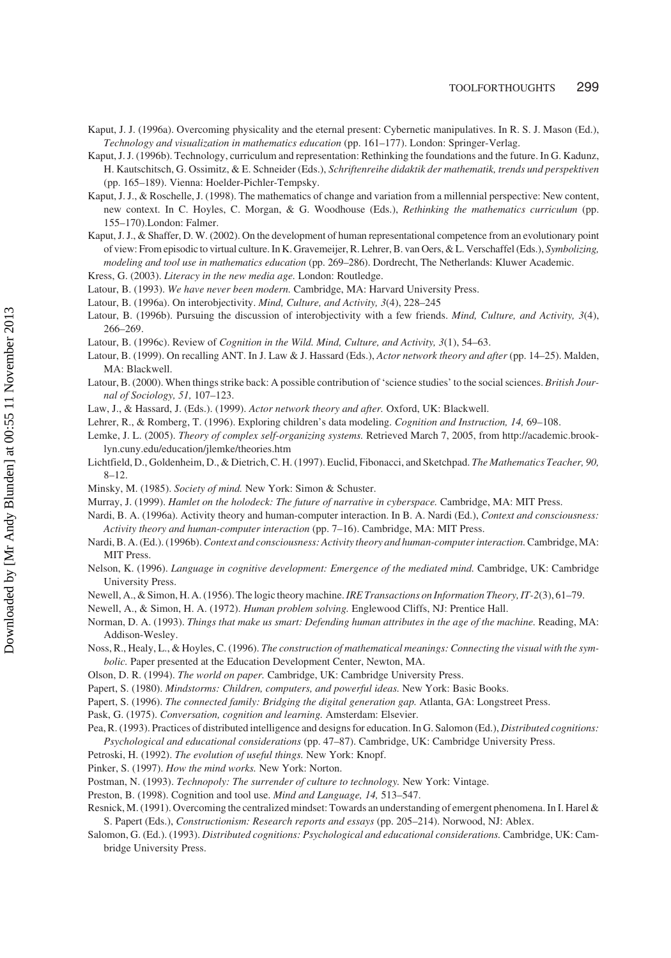- Kaput, J. J. (1996a). Overcoming physicality and the eternal present: Cybernetic manipulatives. In R. S. J. Mason (Ed.), *Technology and visualization in mathematics education* (pp. 161–177). London: Springer-Verlag.
- Kaput, J. J. (1996b). Technology, curriculum and representation: Rethinking the foundations and the future. In G. Kadunz, H. Kautschitsch, G. Ossimitz, & E. Schneider (Eds.), *Schriftenreihe didaktik der mathematik, trends und perspektiven* (pp. 165–189). Vienna: Hoelder-Pichler-Tempsky.
- Kaput, J. J., & Roschelle, J. (1998). The mathematics of change and variation from a millennial perspective: New content, new context. In C. Hoyles, C. Morgan, & G. Woodhouse (Eds.), *Rethinking the mathematics curriculum* (pp. 155–170).London: Falmer.
- Kaput, J. J., & Shaffer, D. W. (2002). On the development of human representational competence from an evolutionary point of view: From episodic to virtual culture. In K. Gravemeijer, R. Lehrer, B. van Oers, & L. Verschaffel (Eds.), *Symbolizing, modeling and tool use in mathematics education* (pp. 269–286). Dordrecht, The Netherlands: Kluwer Academic.
- Kress, G. (2003). *Literacy in the new media age.* London: Routledge.
- Latour, B. (1993). *We have never been modern.* Cambridge, MA: Harvard University Press.
- Latour, B. (1996a). On interobjectivity. *Mind, Culture, and Activity, 3*(4), 228–245
- Latour, B. (1996b). Pursuing the discussion of interobjectivity with a few friends. *Mind, Culture, and Activity, 3*(4), 266–269.
- Latour, B. (1996c). Review of *Cognition in the Wild. Mind, Culture, and Activity, 3*(1), 54–63.
- Latour, B. (1999). On recalling ANT. In J. Law & J. Hassard (Eds.), *Actor network theory and after* (pp. 14–25). Malden, MA: Blackwell.
- Latour, B. (2000). When things strike back: A possible contribution of 'science studies' to the social sciences. *British Journal of Sociology, 51,* 107–123.
- Law, J., & Hassard, J. (Eds.). (1999). *Actor network theory and after.* Oxford, UK: Blackwell.
- Lehrer, R., & Romberg, T. (1996). Exploring children's data modeling. *Cognition and Instruction, 14,* 69–108.
- Lemke, J. L. (2005). *Theory of complex self-organizing systems.* Retrieved March 7, 2005, from http://academic.brooklyn.cuny.edu/education/jlemke/theories.htm
- Lichtfield, D., Goldenheim, D., & Dietrich, C. H. (1997). Euclid, Fibonacci, and Sketchpad. *The Mathematics Teacher, 90,* 8–12.
- Minsky, M. (1985). *Society of mind.* New York: Simon & Schuster.
- Murray, J. (1999). *Hamlet on the holodeck: The future of narrative in cyberspace.* Cambridge, MA: MIT Press.
- Nardi, B. A. (1996a). Activity theory and human-computer interaction. In B. A. Nardi (Ed.), *Context and consciousness: Activity theory and human-computer interaction* (pp. 7–16). Cambridge, MA: MIT Press.
- Nardi, B. A. (Ed.). (1996b).*Context and consciousness: Activity theory and human-computer interaction.*Cambridge, MA: MIT Press.
- Nelson, K. (1996). *Language in cognitive development: Emergence of the mediated mind.* Cambridge, UK: Cambridge University Press.
- Newell, A., & Simon, H. A. (1956). The logic theory machine.*IRE Transactions on Information Theory, IT-2*(3), 61–79.
- Newell, A., & Simon, H. A. (1972). *Human problem solving.* Englewood Cliffs, NJ: Prentice Hall.
- Norman, D. A. (1993). *Things that make us smart: Defending human attributes in the age of the machine.* Reading, MA: Addison-Wesley.
- Noss, R., Healy, L., & Hoyles, C. (1996). *The construction of mathematical meanings: Connecting the visual with the symbolic.* Paper presented at the Education Development Center, Newton, MA.
- Olson, D. R. (1994). *The world on paper.* Cambridge, UK: Cambridge University Press.
- Papert, S. (1980). *Mindstorms: Children, computers, and powerful ideas.* New York: Basic Books.
- Papert, S. (1996). *The connected family: Bridging the digital generation gap.* Atlanta, GA: Longstreet Press.
- Pask, G. (1975). *Conversation, cognition and learning.* Amsterdam: Elsevier.
- Pea, R. (1993). Practices of distributed intelligence and designs for education. In G. Salomon (Ed.), *Distributed cognitions: Psychological and educational considerations* (pp. 47–87). Cambridge, UK: Cambridge University Press.
- Petroski, H. (1992). *The evolution of useful things.* New York: Knopf.
- Pinker, S. (1997). *How the mind works.* New York: Norton.
- Postman, N. (1993). *Technopoly: The surrender of culture to technology.* New York: Vintage.
- Preston, B. (1998). Cognition and tool use. *Mind and Language, 14,* 513–547.
- Resnick, M. (1991). Overcoming the centralized mindset: Towards an understanding of emergent phenomena. In I. Harel & S. Papert (Eds.), *Constructionism: Research reports and essays* (pp. 205–214). Norwood, NJ: Ablex.
- Salomon, G. (Ed.). (1993). *Distributed cognitions: Psychological and educational considerations.* Cambridge, UK: Cambridge University Press.